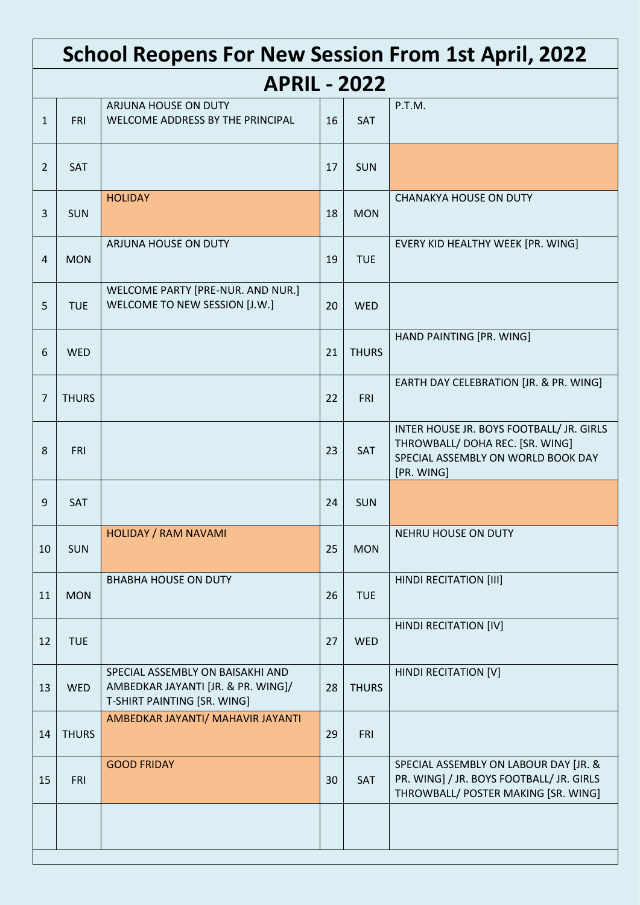|                | <b>School Reopens For New Session From 1st April, 2022</b> |                                                                                                       |    |              |                                                                                                                                 |  |  |  |  |  |
|----------------|------------------------------------------------------------|-------------------------------------------------------------------------------------------------------|----|--------------|---------------------------------------------------------------------------------------------------------------------------------|--|--|--|--|--|
|                | <b>APRIL - 2022</b>                                        |                                                                                                       |    |              |                                                                                                                                 |  |  |  |  |  |
| $\mathbf{1}$   | <b>FRI</b>                                                 | ARJUNA HOUSE ON DUTY<br>WELCOME ADDRESS BY THE PRINCIPAL                                              | 16 | <b>SAT</b>   | P.T.M.                                                                                                                          |  |  |  |  |  |
| $\overline{2}$ | SAT                                                        |                                                                                                       | 17 | <b>SUN</b>   |                                                                                                                                 |  |  |  |  |  |
| $\overline{3}$ | <b>SUN</b>                                                 | <b>HOLIDAY</b>                                                                                        | 18 | <b>MON</b>   | <b>CHANAKYA HOUSE ON DUTY</b>                                                                                                   |  |  |  |  |  |
| $\overline{4}$ | <b>MON</b>                                                 | ARJUNA HOUSE ON DUTY                                                                                  | 19 | <b>TUE</b>   | EVERY KID HEALTHY WEEK [PR. WING]                                                                                               |  |  |  |  |  |
| 5              | <b>TUE</b>                                                 | WELCOME PARTY [PRE-NUR. AND NUR.]<br>WELCOME TO NEW SESSION [J.W.]                                    | 20 | <b>WED</b>   |                                                                                                                                 |  |  |  |  |  |
| 6              | <b>WED</b>                                                 |                                                                                                       | 21 | <b>THURS</b> | HAND PAINTING [PR. WING]                                                                                                        |  |  |  |  |  |
| 7              | <b>THURS</b>                                               |                                                                                                       | 22 | <b>FRI</b>   | EARTH DAY CELEBRATION [JR. & PR. WING]                                                                                          |  |  |  |  |  |
| 8              | <b>FRI</b>                                                 |                                                                                                       | 23 | SAT          | INTER HOUSE JR. BOYS FOOTBALL/ JR. GIRLS<br>THROWBALL/ DOHA REC. [SR. WING]<br>SPECIAL ASSEMBLY ON WORLD BOOK DAY<br>[PR. WING] |  |  |  |  |  |
| 9              | <b>SAT</b>                                                 |                                                                                                       | 24 | <b>SUN</b>   |                                                                                                                                 |  |  |  |  |  |
| 10             | <b>SUN</b>                                                 | <b>HOLIDAY / RAM NAVAMI</b>                                                                           | 25 | <b>MON</b>   | NEHRU HOUSE ON DUTY                                                                                                             |  |  |  |  |  |
| 11             | <b>MON</b>                                                 | <b>BHABHA HOUSE ON DUTY</b>                                                                           | 26 | <b>TUE</b>   | <b>HINDI RECITATION [III]</b>                                                                                                   |  |  |  |  |  |
| 12             | <b>TUE</b>                                                 |                                                                                                       | 27 | <b>WED</b>   | HINDI RECITATION [IV]                                                                                                           |  |  |  |  |  |
| 13             | WED                                                        | SPECIAL ASSEMBLY ON BAISAKHI AND<br>AMBEDKAR JAYANTI [JR. & PR. WING]/<br>T-SHIRT PAINTING [SR. WING] | 28 | <b>THURS</b> | HINDI RECITATION [V]                                                                                                            |  |  |  |  |  |
| 14             | <b>THURS</b>                                               | AMBEDKAR JAYANTI/ MAHAVIR JAYANTI                                                                     | 29 | <b>FRI</b>   |                                                                                                                                 |  |  |  |  |  |
| 15             | <b>FRI</b>                                                 | <b>GOOD FRIDAY</b>                                                                                    | 30 | SAT          | SPECIAL ASSEMBLY ON LABOUR DAY [JR. &<br>PR. WING] / JR. BOYS FOOTBALL/ JR. GIRLS<br>THROWBALL/ POSTER MAKING [SR. WING]        |  |  |  |  |  |
|                |                                                            |                                                                                                       |    |              |                                                                                                                                 |  |  |  |  |  |
|                |                                                            |                                                                                                       |    |              |                                                                                                                                 |  |  |  |  |  |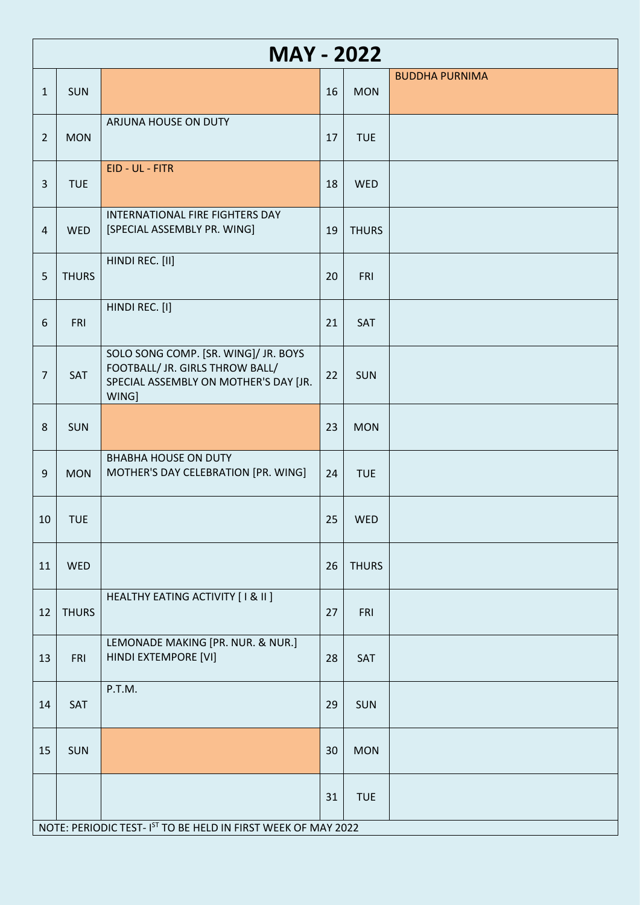|                 | <b>MAY - 2022</b> |                                                                                                                           |    |              |                       |  |  |  |  |
|-----------------|-------------------|---------------------------------------------------------------------------------------------------------------------------|----|--------------|-----------------------|--|--|--|--|
| $\mathbf{1}$    | <b>SUN</b>        |                                                                                                                           | 16 | <b>MON</b>   | <b>BUDDHA PURNIMA</b> |  |  |  |  |
| $\overline{2}$  | <b>MON</b>        | ARJUNA HOUSE ON DUTY                                                                                                      | 17 | <b>TUE</b>   |                       |  |  |  |  |
| $\overline{3}$  | <b>TUE</b>        | EID - UL - FITR                                                                                                           | 18 | <b>WED</b>   |                       |  |  |  |  |
| $\overline{4}$  | <b>WED</b>        | INTERNATIONAL FIRE FIGHTERS DAY<br>[SPECIAL ASSEMBLY PR. WING]                                                            | 19 | <b>THURS</b> |                       |  |  |  |  |
| 5               | <b>THURS</b>      | HINDI REC. [II]                                                                                                           | 20 | FRI          |                       |  |  |  |  |
| $6\phantom{1}6$ | <b>FRI</b>        | HINDI REC. [I]                                                                                                            | 21 | SAT          |                       |  |  |  |  |
| $\overline{7}$  | SAT               | SOLO SONG COMP. [SR. WING]/ JR. BOYS<br>FOOTBALL/ JR. GIRLS THROW BALL/<br>SPECIAL ASSEMBLY ON MOTHER'S DAY [JR.<br>WING] | 22 | <b>SUN</b>   |                       |  |  |  |  |
| 8               | <b>SUN</b>        |                                                                                                                           | 23 | <b>MON</b>   |                       |  |  |  |  |
| 9               | <b>MON</b>        | <b>BHABHA HOUSE ON DUTY</b><br>MOTHER'S DAY CELEBRATION [PR. WING]                                                        | 24 | <b>TUE</b>   |                       |  |  |  |  |
| 10              | <b>TUE</b>        |                                                                                                                           |    | $25$ WED     |                       |  |  |  |  |
| 11              | <b>WED</b>        |                                                                                                                           | 26 | <b>THURS</b> |                       |  |  |  |  |
| 12              | <b>THURS</b>      | HEALTHY EATING ACTIVITY [ I & II ]                                                                                        | 27 | <b>FRI</b>   |                       |  |  |  |  |
| 13              | <b>FRI</b>        | LEMONADE MAKING [PR. NUR. & NUR.]<br>HINDI EXTEMPORE [VI]                                                                 | 28 | SAT          |                       |  |  |  |  |
| 14              | SAT               | P.T.M.                                                                                                                    | 29 | <b>SUN</b>   |                       |  |  |  |  |
| 15              | SUN               |                                                                                                                           | 30 | <b>MON</b>   |                       |  |  |  |  |
|                 |                   |                                                                                                                           | 31 | <b>TUE</b>   |                       |  |  |  |  |
|                 |                   | NOTE: PERIODIC TEST- IST TO BE HELD IN FIRST WEEK OF MAY 2022                                                             |    |              |                       |  |  |  |  |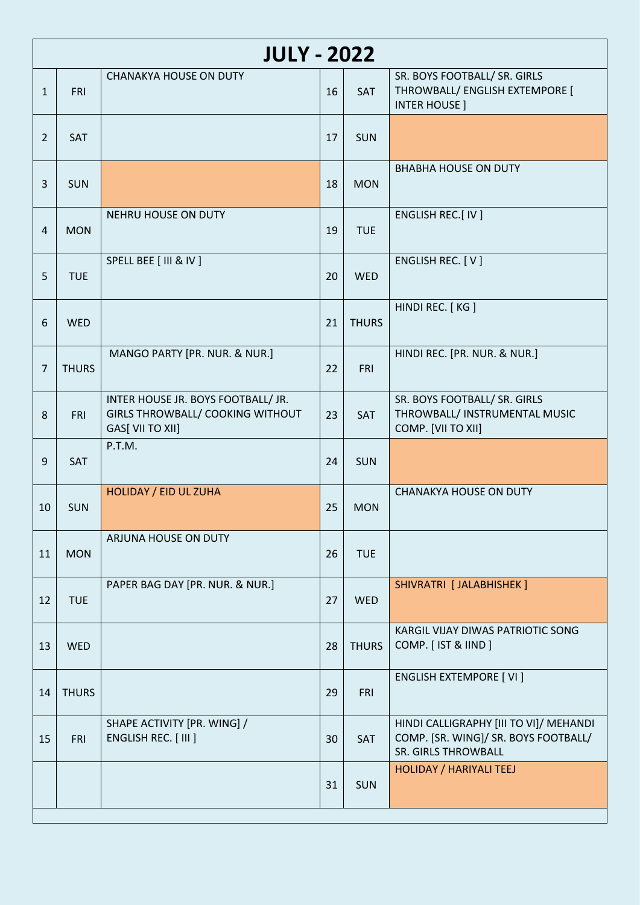|                | <b>JULY - 2022</b> |                                                                                            |    |              |                                                                                                       |  |  |  |  |  |
|----------------|--------------------|--------------------------------------------------------------------------------------------|----|--------------|-------------------------------------------------------------------------------------------------------|--|--|--|--|--|
| $\mathbf{1}$   | <b>FRI</b>         | <b>CHANAKYA HOUSE ON DUTY</b>                                                              | 16 | SAT          | SR. BOYS FOOTBALL/ SR. GIRLS<br>THROWBALL/ ENGLISH EXTEMPORE [<br><b>INTER HOUSE</b> ]                |  |  |  |  |  |
| $\overline{2}$ | <b>SAT</b>         |                                                                                            | 17 | <b>SUN</b>   |                                                                                                       |  |  |  |  |  |
| 3              | <b>SUN</b>         |                                                                                            | 18 | <b>MON</b>   | <b>BHABHA HOUSE ON DUTY</b>                                                                           |  |  |  |  |  |
| $\overline{4}$ | <b>MON</b>         | NEHRU HOUSE ON DUTY                                                                        | 19 | <b>TUE</b>   | ENGLISH REC.[ IV ]                                                                                    |  |  |  |  |  |
| 5              | <b>TUE</b>         | SPELL BEE [ III & IV ]                                                                     | 20 | <b>WED</b>   | ENGLISH REC. [ V ]                                                                                    |  |  |  |  |  |
| 6              | <b>WED</b>         |                                                                                            | 21 | <b>THURS</b> | HINDI REC. [KG]                                                                                       |  |  |  |  |  |
| 7              | <b>THURS</b>       | MANGO PARTY [PR. NUR. & NUR.]                                                              | 22 | <b>FRI</b>   | HINDI REC. [PR. NUR. & NUR.]                                                                          |  |  |  |  |  |
| 8              | <b>FRI</b>         | INTER HOUSE JR. BOYS FOOTBALL/ JR.<br>GIRLS THROWBALL/ COOKING WITHOUT<br>GAS[ VII TO XII] | 23 | SAT          | SR. BOYS FOOTBALL/ SR. GIRLS<br>THROWBALL/ INSTRUMENTAL MUSIC<br>COMP. [VII TO XII]                   |  |  |  |  |  |
| 9              | SAT                | P.T.M.                                                                                     | 24 | <b>SUN</b>   |                                                                                                       |  |  |  |  |  |
| 10             | <b>SUN</b>         | HOLIDAY / EID UL ZUHA                                                                      | 25 | <b>MON</b>   | <b>CHANAKYA HOUSE ON DUTY</b>                                                                         |  |  |  |  |  |
| 11             | <b>MON</b>         | ARJUNA HOUSE ON DUTY                                                                       | 26 | <b>TUE</b>   |                                                                                                       |  |  |  |  |  |
| 12             | <b>TUE</b>         | PAPER BAG DAY [PR. NUR. & NUR.]                                                            | 27 | <b>WED</b>   | SHIVRATRI [ JALABHISHEK ]                                                                             |  |  |  |  |  |
| 13             | <b>WED</b>         |                                                                                            | 28 | <b>THURS</b> | KARGIL VIJAY DIWAS PATRIOTIC SONG<br>COMP. [IST & IIND]                                               |  |  |  |  |  |
| 14             | <b>THURS</b>       |                                                                                            | 29 | <b>FRI</b>   | <b>ENGLISH EXTEMPORE [VI]</b>                                                                         |  |  |  |  |  |
| 15             | <b>FRI</b>         | SHAPE ACTIVITY [PR. WING] /<br>ENGLISH REC. [ III ]                                        | 30 | <b>SAT</b>   | HINDI CALLIGRAPHY [III TO VI]/ MEHANDI<br>COMP. [SR. WING]/ SR. BOYS FOOTBALL/<br>SR. GIRLS THROWBALL |  |  |  |  |  |
|                |                    |                                                                                            | 31 | <b>SUN</b>   | HOLIDAY / HARIYALI TEEJ                                                                               |  |  |  |  |  |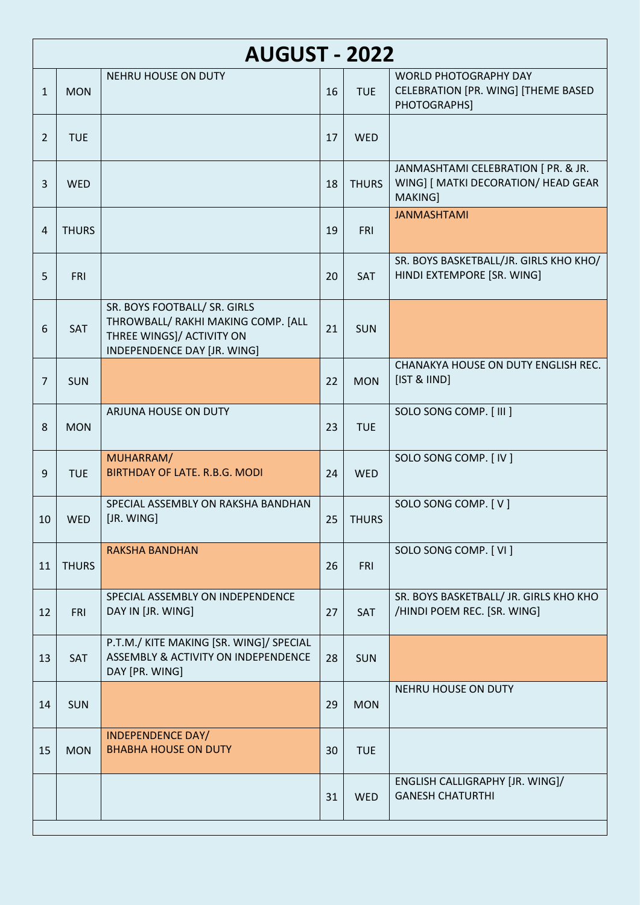|                 | <b>AUGUST - 2022</b> |                                                                                                                                |    |              |                                                                                       |  |  |  |  |
|-----------------|----------------------|--------------------------------------------------------------------------------------------------------------------------------|----|--------------|---------------------------------------------------------------------------------------|--|--|--|--|
| $\mathbf{1}$    | <b>MON</b>           | <b>NEHRU HOUSE ON DUTY</b>                                                                                                     | 16 | <b>TUE</b>   | <b>WORLD PHOTOGRAPHY DAY</b><br>CELEBRATION [PR. WING] [THEME BASED<br>PHOTOGRAPHS]   |  |  |  |  |
| $\overline{2}$  | <b>TUE</b>           |                                                                                                                                | 17 | <b>WED</b>   |                                                                                       |  |  |  |  |
| 3               | <b>WED</b>           |                                                                                                                                | 18 | <b>THURS</b> | JANMASHTAMI CELEBRATION [ PR. & JR.<br>WING] [ MATKI DECORATION/ HEAD GEAR<br>MAKING] |  |  |  |  |
| 4               | <b>THURS</b>         |                                                                                                                                | 19 | <b>FRI</b>   | <b>JANMASHTAMI</b>                                                                    |  |  |  |  |
| 5               | <b>FRI</b>           |                                                                                                                                | 20 | SAT          | SR. BOYS BASKETBALL/JR. GIRLS KHO KHO/<br>HINDI EXTEMPORE [SR. WING]                  |  |  |  |  |
| 6               | SAT                  | SR. BOYS FOOTBALL/ SR. GIRLS<br>THROWBALL/ RAKHI MAKING COMP. [ALL<br>THREE WINGS]/ ACTIVITY ON<br>INDEPENDENCE DAY [JR. WING] | 21 | <b>SUN</b>   |                                                                                       |  |  |  |  |
| $\overline{7}$  | <b>SUN</b>           |                                                                                                                                | 22 | <b>MON</b>   | CHANAKYA HOUSE ON DUTY ENGLISH REC.<br>[IST & IIND]                                   |  |  |  |  |
| 8               | <b>MON</b>           | ARJUNA HOUSE ON DUTY                                                                                                           | 23 | <b>TUE</b>   | SOLO SONG COMP. [ III ]                                                               |  |  |  |  |
| 9               | <b>TUE</b>           | MUHARRAM/<br><b>BIRTHDAY OF LATE. R.B.G. MODI</b>                                                                              | 24 | <b>WED</b>   | SOLO SONG COMP. [ IV ]                                                                |  |  |  |  |
| 10 <sup>1</sup> | WED                  | SPECIAL ASSEMBLY ON RAKSHA BANDHAN<br>[JR. WING]                                                                               |    | $25$ THURS   | SOLO SONG COMP. [V]                                                                   |  |  |  |  |
| 11              | <b>THURS</b>         | <b>RAKSHA BANDHAN</b>                                                                                                          | 26 | <b>FRI</b>   | SOLO SONG COMP. [VI]                                                                  |  |  |  |  |
| 12              | <b>FRI</b>           | SPECIAL ASSEMBLY ON INDEPENDENCE<br>DAY IN [JR. WING]                                                                          | 27 | SAT          | SR. BOYS BASKETBALL/ JR. GIRLS KHO KHO<br>/HINDI POEM REC. [SR. WING]                 |  |  |  |  |
| 13              | SAT                  | P.T.M./ KITE MAKING [SR. WING]/ SPECIAL<br>ASSEMBLY & ACTIVITY ON INDEPENDENCE<br>DAY [PR. WING]                               | 28 | <b>SUN</b>   |                                                                                       |  |  |  |  |
| 14              | <b>SUN</b>           |                                                                                                                                | 29 | <b>MON</b>   | NEHRU HOUSE ON DUTY                                                                   |  |  |  |  |
| 15              | <b>MON</b>           | <b>INDEPENDENCE DAY/</b><br><b>BHABHA HOUSE ON DUTY</b>                                                                        | 30 | <b>TUE</b>   |                                                                                       |  |  |  |  |
|                 |                      |                                                                                                                                | 31 | WED          | ENGLISH CALLIGRAPHY [JR. WING]/<br><b>GANESH CHATURTHI</b>                            |  |  |  |  |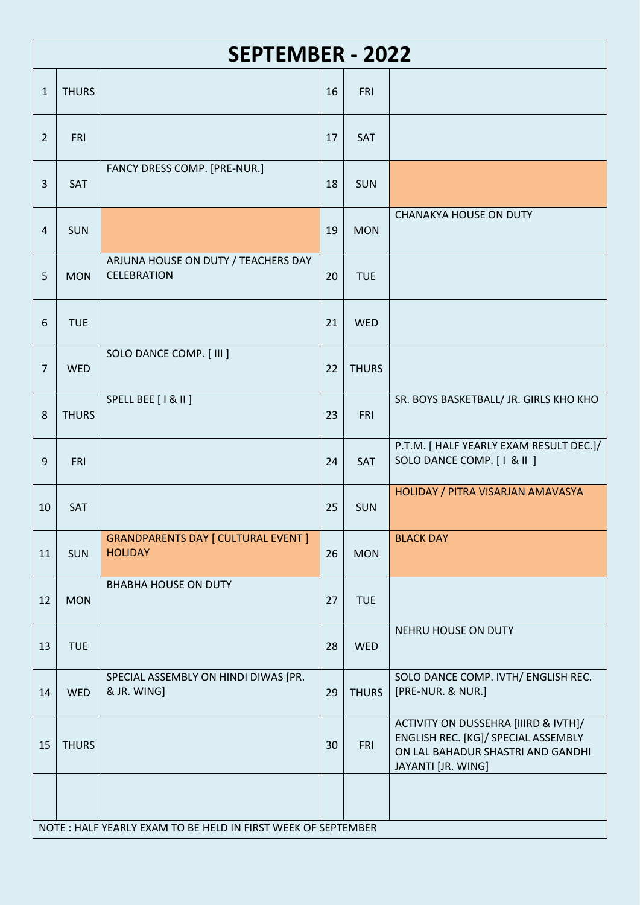|                | <b>SEPTEMBER - 2022</b> |                                                              |    |              |                                                                                                                                        |  |  |  |  |  |
|----------------|-------------------------|--------------------------------------------------------------|----|--------------|----------------------------------------------------------------------------------------------------------------------------------------|--|--|--|--|--|
| $\mathbf{1}$   | <b>THURS</b>            |                                                              | 16 | <b>FRI</b>   |                                                                                                                                        |  |  |  |  |  |
| $\overline{2}$ | <b>FRI</b>              |                                                              | 17 | SAT          |                                                                                                                                        |  |  |  |  |  |
| $\overline{3}$ | SAT                     | FANCY DRESS COMP. [PRE-NUR.]                                 | 18 | <b>SUN</b>   |                                                                                                                                        |  |  |  |  |  |
| $\overline{4}$ | <b>SUN</b>              |                                                              | 19 | <b>MON</b>   | <b>CHANAKYA HOUSE ON DUTY</b>                                                                                                          |  |  |  |  |  |
| 5              | <b>MON</b>              | ARJUNA HOUSE ON DUTY / TEACHERS DAY<br><b>CELEBRATION</b>    | 20 | <b>TUE</b>   |                                                                                                                                        |  |  |  |  |  |
| 6              | <b>TUE</b>              |                                                              | 21 | <b>WED</b>   |                                                                                                                                        |  |  |  |  |  |
| 7              | <b>WED</b>              | SOLO DANCE COMP. [ III ]                                     | 22 | <b>THURS</b> |                                                                                                                                        |  |  |  |  |  |
| 8              | <b>THURS</b>            | SPELL BEE [   &    ]                                         | 23 | <b>FRI</b>   | SR. BOYS BASKETBALL/ JR. GIRLS KHO KHO                                                                                                 |  |  |  |  |  |
| 9              | <b>FRI</b>              |                                                              | 24 | SAT          | P.T.M. [ HALF YEARLY EXAM RESULT DEC.]/<br>SOLO DANCE COMP. [ I & II ]                                                                 |  |  |  |  |  |
| 10             | <b>SAT</b>              |                                                              | 25 | <b>SUN</b>   | HOLIDAY / PITRA VISARJAN AMAVASYA                                                                                                      |  |  |  |  |  |
| 11             | <b>SUN</b>              | <b>GRANDPARENTS DAY [ CULTURAL EVENT ]</b><br><b>HOLIDAY</b> | 26 | <b>MON</b>   | <b>BLACK DAY</b>                                                                                                                       |  |  |  |  |  |
| 12             | <b>MON</b>              | <b>BHABHA HOUSE ON DUTY</b>                                  | 27 | <b>TUE</b>   |                                                                                                                                        |  |  |  |  |  |
| 13             | <b>TUE</b>              |                                                              | 28 | WED          | NEHRU HOUSE ON DUTY                                                                                                                    |  |  |  |  |  |
| 14             | <b>WED</b>              | SPECIAL ASSEMBLY ON HINDI DIWAS [PR.<br>& JR. WING]          | 29 | <b>THURS</b> | SOLO DANCE COMP. IVTH/ ENGLISH REC.<br>[PRE-NUR. & NUR.]                                                                               |  |  |  |  |  |
| 15             | <b>THURS</b>            |                                                              | 30 | <b>FRI</b>   | ACTIVITY ON DUSSEHRA [IIIRD & IVTH]/<br>ENGLISH REC. [KG]/ SPECIAL ASSEMBLY<br>ON LAL BAHADUR SHASTRI AND GANDHI<br>JAYANTI [JR. WING] |  |  |  |  |  |
|                |                         |                                                              |    |              |                                                                                                                                        |  |  |  |  |  |
|                |                         | NOTE: HALF YEARLY EXAM TO BE HELD IN FIRST WEEK OF SEPTEMBER |    |              |                                                                                                                                        |  |  |  |  |  |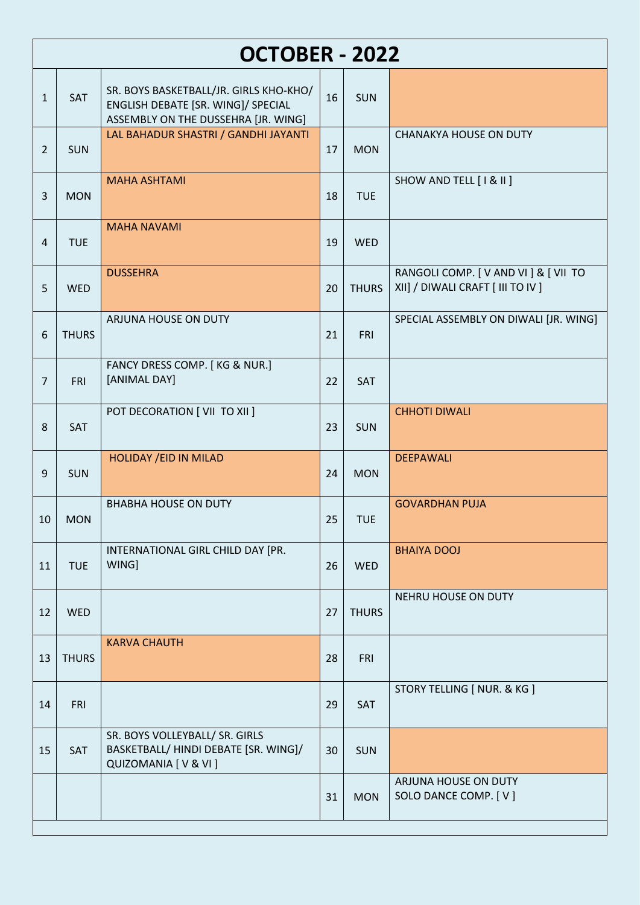|                | OCTOBER - 2022 |                                                                                                                     |    |              |                                                                            |  |  |  |  |  |
|----------------|----------------|---------------------------------------------------------------------------------------------------------------------|----|--------------|----------------------------------------------------------------------------|--|--|--|--|--|
| $\mathbf{1}$   | SAT            | SR. BOYS BASKETBALL/JR. GIRLS KHO-KHO/<br>ENGLISH DEBATE [SR. WING]/ SPECIAL<br>ASSEMBLY ON THE DUSSEHRA [JR. WING] | 16 | <b>SUN</b>   |                                                                            |  |  |  |  |  |
| $\overline{2}$ | <b>SUN</b>     | LAL BAHADUR SHASTRI / GANDHI JAYANTI                                                                                | 17 | <b>MON</b>   | <b>CHANAKYA HOUSE ON DUTY</b>                                              |  |  |  |  |  |
| $\overline{3}$ | <b>MON</b>     | <b>MAHA ASHTAMI</b>                                                                                                 | 18 | <b>TUE</b>   | SHOW AND TELL [ I & II ]                                                   |  |  |  |  |  |
| $\overline{4}$ | <b>TUE</b>     | <b>MAHA NAVAMI</b>                                                                                                  | 19 | <b>WED</b>   |                                                                            |  |  |  |  |  |
| 5              | <b>WED</b>     | <b>DUSSEHRA</b>                                                                                                     | 20 | <b>THURS</b> | RANGOLI COMP. [ V AND VI ] & [ VII TO<br>XII] / DIWALI CRAFT [ III TO IV ] |  |  |  |  |  |
| 6              | <b>THURS</b>   | ARJUNA HOUSE ON DUTY                                                                                                | 21 | <b>FRI</b>   | SPECIAL ASSEMBLY ON DIWALI [JR. WING]                                      |  |  |  |  |  |
| $\overline{7}$ | <b>FRI</b>     | FANCY DRESS COMP. [KG & NUR.]<br>[ANIMAL DAY]                                                                       | 22 | SAT          |                                                                            |  |  |  |  |  |
| 8              | SAT            | POT DECORATION [ VII TO XII ]                                                                                       | 23 | <b>SUN</b>   | <b>CHHOTI DIWALI</b>                                                       |  |  |  |  |  |
| 9              | <b>SUN</b>     | <b>HOLIDAY / EID IN MILAD</b>                                                                                       | 24 | <b>MON</b>   | <b>DEEPAWALI</b>                                                           |  |  |  |  |  |
| 10             | <b>MON</b>     | <b>BHABHA HOUSE ON DUTY</b>                                                                                         | 25 | <b>TUE</b>   | <b>GOVARDHAN PUJA</b>                                                      |  |  |  |  |  |
| 11             | <b>TUE</b>     | INTERNATIONAL GIRL CHILD DAY [PR.<br>WING]                                                                          | 26 | <b>WED</b>   | <b>BHAIYA DOOJ</b>                                                         |  |  |  |  |  |
| 12             | WED            |                                                                                                                     | 27 | <b>THURS</b> | NEHRU HOUSE ON DUTY                                                        |  |  |  |  |  |
| 13             | <b>THURS</b>   | <b>KARVA CHAUTH</b>                                                                                                 | 28 | <b>FRI</b>   |                                                                            |  |  |  |  |  |
| 14             | <b>FRI</b>     |                                                                                                                     | 29 | SAT          | STORY TELLING [ NUR. & KG ]                                                |  |  |  |  |  |
| 15             | SAT            | SR. BOYS VOLLEYBALL/ SR. GIRLS<br>BASKETBALL/ HINDI DEBATE [SR. WING]/<br>QUIZOMANIA [ V & VI ]                     | 30 | <b>SUN</b>   |                                                                            |  |  |  |  |  |
|                |                |                                                                                                                     | 31 | <b>MON</b>   | ARJUNA HOUSE ON DUTY<br>SOLO DANCE COMP. [V]                               |  |  |  |  |  |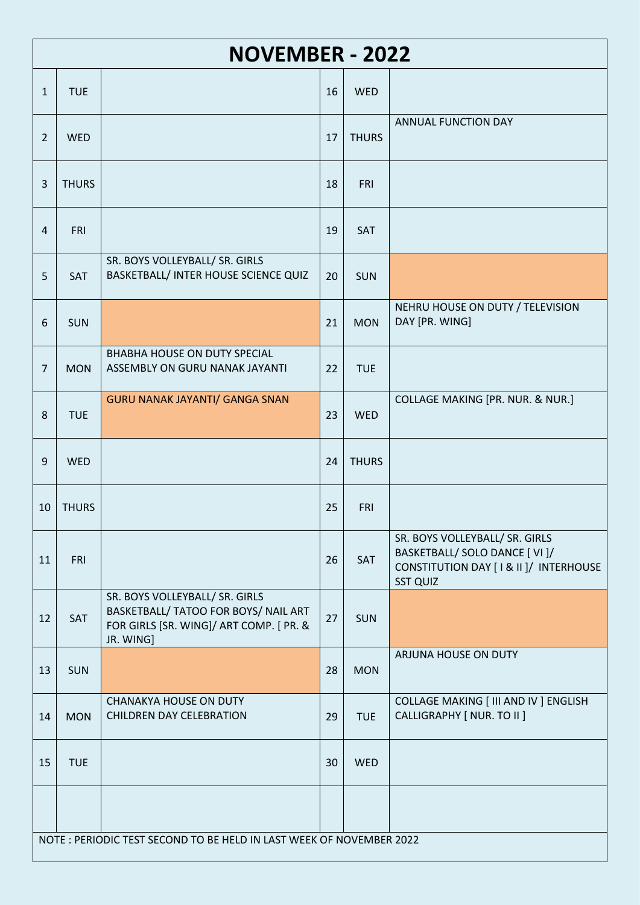|                | <b>NOVEMBER - 2022</b> |                                                                                                                                |    |              |                                                                                                                               |  |  |  |  |  |
|----------------|------------------------|--------------------------------------------------------------------------------------------------------------------------------|----|--------------|-------------------------------------------------------------------------------------------------------------------------------|--|--|--|--|--|
| $\mathbf{1}$   | <b>TUE</b>             |                                                                                                                                | 16 | <b>WED</b>   |                                                                                                                               |  |  |  |  |  |
| $\overline{2}$ | <b>WED</b>             |                                                                                                                                | 17 | <b>THURS</b> | ANNUAL FUNCTION DAY                                                                                                           |  |  |  |  |  |
| $\overline{3}$ | <b>THURS</b>           |                                                                                                                                | 18 | <b>FRI</b>   |                                                                                                                               |  |  |  |  |  |
| $\overline{4}$ | <b>FRI</b>             |                                                                                                                                | 19 | SAT          |                                                                                                                               |  |  |  |  |  |
| 5              | <b>SAT</b>             | SR. BOYS VOLLEYBALL/ SR. GIRLS<br>BASKETBALL/ INTER HOUSE SCIENCE QUIZ                                                         | 20 | <b>SUN</b>   |                                                                                                                               |  |  |  |  |  |
| 6              | <b>SUN</b>             |                                                                                                                                | 21 | <b>MON</b>   | NEHRU HOUSE ON DUTY / TELEVISION<br>DAY [PR. WING]                                                                            |  |  |  |  |  |
| 7              | <b>MON</b>             | <b>BHABHA HOUSE ON DUTY SPECIAL</b><br>ASSEMBLY ON GURU NANAK JAYANTI                                                          | 22 | <b>TUE</b>   |                                                                                                                               |  |  |  |  |  |
| 8              | <b>TUE</b>             | <b>GURU NANAK JAYANTI/ GANGA SNAN</b>                                                                                          | 23 | <b>WED</b>   | COLLAGE MAKING [PR. NUR. & NUR.]                                                                                              |  |  |  |  |  |
| 9              | <b>WED</b>             |                                                                                                                                | 24 | <b>THURS</b> |                                                                                                                               |  |  |  |  |  |
| 10             | <b>THURS</b>           |                                                                                                                                | 25 | <b>FRI</b>   |                                                                                                                               |  |  |  |  |  |
| 11             | <b>FRI</b>             |                                                                                                                                | 26 | SAT          | SR. BOYS VOLLEYBALL/ SR. GIRLS<br>BASKETBALL/ SOLO DANCE [ VI ]/<br>CONSTITUTION DAY [1 & II ]/ INTERHOUSE<br><b>SST QUIZ</b> |  |  |  |  |  |
| 12             | SAT                    | SR. BOYS VOLLEYBALL/ SR. GIRLS<br>BASKETBALL/ TATOO FOR BOYS/ NAIL ART<br>FOR GIRLS [SR. WING]/ ART COMP. [ PR. &<br>JR. WING] | 27 | SUN          |                                                                                                                               |  |  |  |  |  |
| 13             | <b>SUN</b>             |                                                                                                                                | 28 | <b>MON</b>   | ARJUNA HOUSE ON DUTY                                                                                                          |  |  |  |  |  |
| 14             | <b>MON</b>             | <b>CHANAKYA HOUSE ON DUTY</b><br><b>CHILDREN DAY CELEBRATION</b>                                                               | 29 | <b>TUE</b>   | COLLAGE MAKING [ III AND IV ] ENGLISH<br>CALLIGRAPHY [ NUR. TO II ]                                                           |  |  |  |  |  |
| 15             | <b>TUE</b>             |                                                                                                                                | 30 | <b>WED</b>   |                                                                                                                               |  |  |  |  |  |
|                |                        |                                                                                                                                |    |              |                                                                                                                               |  |  |  |  |  |
|                |                        | NOTE: PERIODIC TEST SECOND TO BE HELD IN LAST WEEK OF NOVEMBER 2022                                                            |    |              |                                                                                                                               |  |  |  |  |  |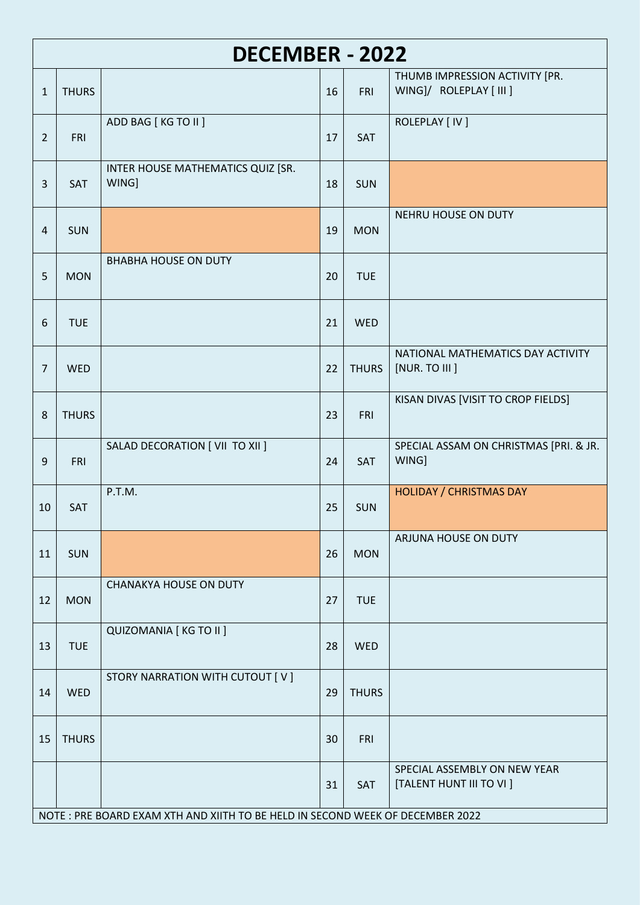|                | <b>DECEMBER - 2022</b> |                                                                               |    |              |                                                           |  |  |  |  |
|----------------|------------------------|-------------------------------------------------------------------------------|----|--------------|-----------------------------------------------------------|--|--|--|--|
| $\mathbf{1}$   | <b>THURS</b>           |                                                                               | 16 | <b>FRI</b>   | THUMB IMPRESSION ACTIVITY [PR.<br>WING]/ ROLEPLAY [ III ] |  |  |  |  |
| $\overline{2}$ | <b>FRI</b>             | ADD BAG [ KG TO II ]                                                          | 17 | SAT          | ROLEPLAY [ IV ]                                           |  |  |  |  |
| $\overline{3}$ | SAT                    | INTER HOUSE MATHEMATICS QUIZ [SR.<br>WING]                                    | 18 | <b>SUN</b>   |                                                           |  |  |  |  |
| 4              | <b>SUN</b>             |                                                                               | 19 | <b>MON</b>   | NEHRU HOUSE ON DUTY                                       |  |  |  |  |
| 5              | <b>MON</b>             | <b>BHABHA HOUSE ON DUTY</b>                                                   | 20 | <b>TUE</b>   |                                                           |  |  |  |  |
| 6              | <b>TUE</b>             |                                                                               | 21 | <b>WED</b>   |                                                           |  |  |  |  |
| 7              | <b>WED</b>             |                                                                               | 22 | <b>THURS</b> | NATIONAL MATHEMATICS DAY ACTIVITY<br>[NUR. TO III ]       |  |  |  |  |
| 8              | <b>THURS</b>           |                                                                               | 23 | <b>FRI</b>   | KISAN DIVAS [VISIT TO CROP FIELDS]                        |  |  |  |  |
| 9              | <b>FRI</b>             | SALAD DECORATION [ VII TO XII ]                                               | 24 | SAT          | SPECIAL ASSAM ON CHRISTMAS [PRI. & JR.<br>WING]           |  |  |  |  |
| 10             | SAT                    | P.T.M.                                                                        | 25 | <b>SUN</b>   | <b>HOLIDAY / CHRISTMAS DAY</b>                            |  |  |  |  |
| 11             | <b>SUN</b>             |                                                                               | 26 | <b>MON</b>   | ARJUNA HOUSE ON DUTY                                      |  |  |  |  |
| 12             | <b>MON</b>             | <b>CHANAKYA HOUSE ON DUTY</b>                                                 | 27 | <b>TUE</b>   |                                                           |  |  |  |  |
| 13             | <b>TUE</b>             | <b>QUIZOMANIA [ KG TO II ]</b>                                                | 28 | <b>WED</b>   |                                                           |  |  |  |  |
| 14             | <b>WED</b>             | STORY NARRATION WITH CUTOUT [ V ]                                             | 29 | <b>THURS</b> |                                                           |  |  |  |  |
| 15             | <b>THURS</b>           |                                                                               | 30 | <b>FRI</b>   |                                                           |  |  |  |  |
|                |                        |                                                                               | 31 | SAT          | SPECIAL ASSEMBLY ON NEW YEAR<br>[TALENT HUNT III TO VI ]  |  |  |  |  |
|                |                        | NOTE: PRE BOARD EXAM XTH AND XIITH TO BE HELD IN SECOND WEEK OF DECEMBER 2022 |    |              |                                                           |  |  |  |  |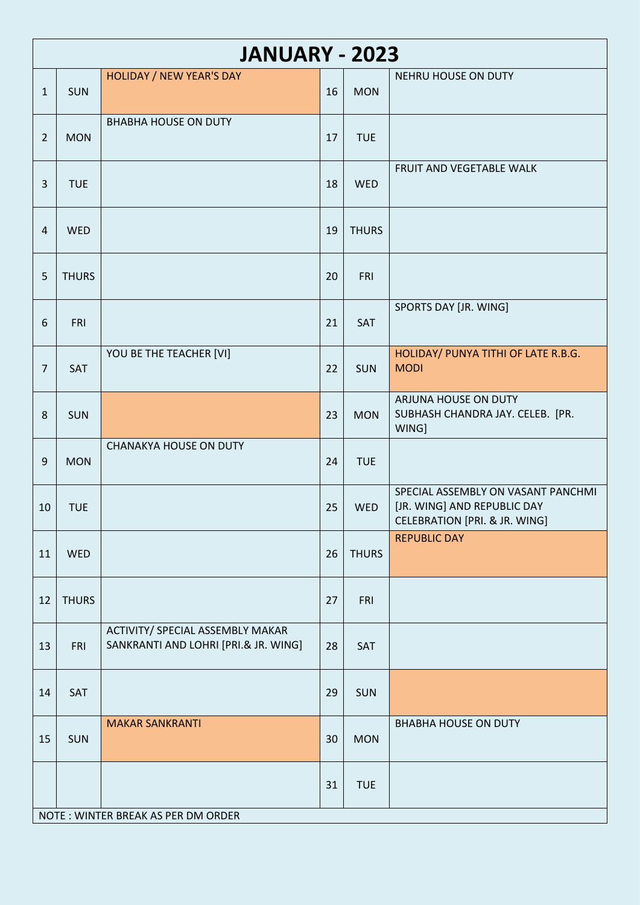|                | <b>JANUARY - 2023</b>              |                                                                          |    |              |                                                                                                               |  |  |  |  |
|----------------|------------------------------------|--------------------------------------------------------------------------|----|--------------|---------------------------------------------------------------------------------------------------------------|--|--|--|--|
| $\mathbf{1}$   | <b>SUN</b>                         | <b>HOLIDAY / NEW YEAR'S DAY</b>                                          | 16 | <b>MON</b>   | <b>NEHRU HOUSE ON DUTY</b>                                                                                    |  |  |  |  |
| $\overline{2}$ | <b>MON</b>                         | <b>BHABHA HOUSE ON DUTY</b>                                              | 17 | <b>TUE</b>   |                                                                                                               |  |  |  |  |
| $\overline{3}$ | <b>TUE</b>                         |                                                                          | 18 | WED          | FRUIT AND VEGETABLE WALK                                                                                      |  |  |  |  |
| 4              | WED                                |                                                                          | 19 | <b>THURS</b> |                                                                                                               |  |  |  |  |
| 5              | <b>THURS</b>                       |                                                                          | 20 | FRI          |                                                                                                               |  |  |  |  |
| 6              | <b>FRI</b>                         |                                                                          | 21 | SAT          | SPORTS DAY [JR. WING]                                                                                         |  |  |  |  |
| $\overline{7}$ | SAT                                | YOU BE THE TEACHER [VI]                                                  | 22 | <b>SUN</b>   | HOLIDAY/ PUNYA TITHI OF LATE R.B.G.<br><b>MODI</b>                                                            |  |  |  |  |
| 8              | <b>SUN</b>                         |                                                                          | 23 | <b>MON</b>   | ARJUNA HOUSE ON DUTY<br>SUBHASH CHANDRA JAY. CELEB. [PR.<br>WING]                                             |  |  |  |  |
| 9              | <b>MON</b>                         | <b>CHANAKYA HOUSE ON DUTY</b>                                            | 24 | <b>TUE</b>   |                                                                                                               |  |  |  |  |
| 10             | <b>TUE</b>                         |                                                                          | 25 | <b>WED</b>   | SPECIAL ASSEMBLY ON VASANT PANCHMI<br>[JR. WING] AND REPUBLIC DAY<br><b>CELEBRATION [PRI. &amp; JR. WING]</b> |  |  |  |  |
| 11             | <b>WED</b>                         |                                                                          | 26 | <b>THURS</b> | <b>REPUBLIC DAY</b>                                                                                           |  |  |  |  |
| 12             | <b>THURS</b>                       |                                                                          | 27 | FRI          |                                                                                                               |  |  |  |  |
| 13             | <b>FRI</b>                         | ACTIVITY/ SPECIAL ASSEMBLY MAKAR<br>SANKRANTI AND LOHRI [PRI.& JR. WING] | 28 | SAT          |                                                                                                               |  |  |  |  |
| 14             | SAT                                |                                                                          | 29 | <b>SUN</b>   |                                                                                                               |  |  |  |  |
| 15             | <b>SUN</b>                         | <b>MAKAR SANKRANTI</b>                                                   | 30 | <b>MON</b>   | <b>BHABHA HOUSE ON DUTY</b>                                                                                   |  |  |  |  |
|                |                                    |                                                                          | 31 | <b>TUE</b>   |                                                                                                               |  |  |  |  |
|                | NOTE: WINTER BREAK AS PER DM ORDER |                                                                          |    |              |                                                                                                               |  |  |  |  |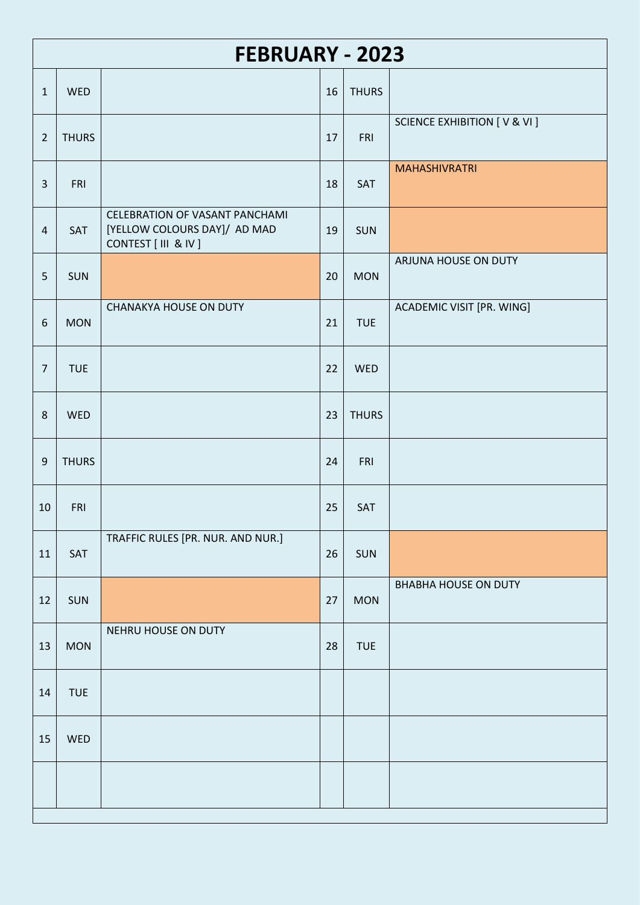|                  | <b>FEBRUARY - 2023</b> |                                                                                        |    |              |                                          |  |  |  |  |  |
|------------------|------------------------|----------------------------------------------------------------------------------------|----|--------------|------------------------------------------|--|--|--|--|--|
| $\mathbf{1}$     | <b>WED</b>             |                                                                                        | 16 | <b>THURS</b> |                                          |  |  |  |  |  |
| $\overline{2}$   | <b>THURS</b>           |                                                                                        | 17 | <b>FRI</b>   | <b>SCIENCE EXHIBITION [ V &amp; VI ]</b> |  |  |  |  |  |
| $\overline{3}$   | FRI                    |                                                                                        | 18 | SAT          | <b>MAHASHIVRATRI</b>                     |  |  |  |  |  |
| $\overline{4}$   | SAT                    | CELEBRATION OF VASANT PANCHAMI<br>[YELLOW COLOURS DAY]/ AD MAD<br>CONTEST [ III & IV ] | 19 | SUN          |                                          |  |  |  |  |  |
| 5                | <b>SUN</b>             |                                                                                        | 20 | <b>MON</b>   | ARJUNA HOUSE ON DUTY                     |  |  |  |  |  |
| $\boldsymbol{6}$ | <b>MON</b>             | <b>CHANAKYA HOUSE ON DUTY</b>                                                          | 21 | <b>TUE</b>   | ACADEMIC VISIT [PR. WING]                |  |  |  |  |  |
| $\overline{7}$   | <b>TUE</b>             |                                                                                        | 22 | <b>WED</b>   |                                          |  |  |  |  |  |
| 8                | <b>WED</b>             |                                                                                        | 23 | <b>THURS</b> |                                          |  |  |  |  |  |
| $\boldsymbol{9}$ | <b>THURS</b>           |                                                                                        | 24 | FRI          |                                          |  |  |  |  |  |
| 10               | <b>FRI</b>             |                                                                                        | 25 | SAT          |                                          |  |  |  |  |  |
| 11               | SAT                    | TRAFFIC RULES [PR. NUR. AND NUR.]                                                      | 26 | SUN          |                                          |  |  |  |  |  |
| 12               | <b>SUN</b>             |                                                                                        | 27 | <b>MON</b>   | <b>BHABHA HOUSE ON DUTY</b>              |  |  |  |  |  |
| 13               | <b>MON</b>             | NEHRU HOUSE ON DUTY                                                                    | 28 | <b>TUE</b>   |                                          |  |  |  |  |  |
| 14               | <b>TUE</b>             |                                                                                        |    |              |                                          |  |  |  |  |  |
| 15               | WED                    |                                                                                        |    |              |                                          |  |  |  |  |  |
|                  |                        |                                                                                        |    |              |                                          |  |  |  |  |  |